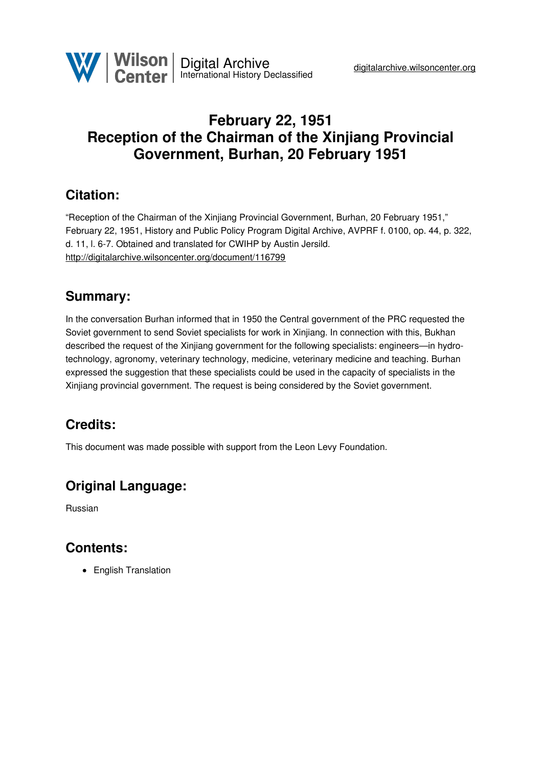

# **February 22, 1951 Reception of the Chairman of the Xinjiang Provincial Government, Burhan, 20 February 1951**

#### **Citation:**

"Reception of the Chairman of the Xinjiang Provincial Government, Burhan, 20 February 1951," February 22, 1951, History and Public Policy Program Digital Archive, AVPRF f. 0100, op. 44, p. 322, d. 11, l. 6-7. Obtained and translated for CWIHP by Austin Jersild. <http://digitalarchive.wilsoncenter.org/document/116799>

#### **Summary:**

In the conversation Burhan informed that in 1950 the Central government of the PRC requested the Soviet government to send Soviet specialists for work in Xinjiang. In connection with this, Bukhan described the request of the Xinjiang government for the following specialists: engineers—in hydrotechnology, agronomy, veterinary technology, medicine, veterinary medicine and teaching. Burhan expressed the suggestion that these specialists could be used in the capacity of specialists in the Xinjiang provincial government. The request is being considered by the Soviet government.

## **Credits:**

This document was made possible with support from the Leon Levy Foundation.

## **Original Language:**

Russian

## **Contents:**

• English Translation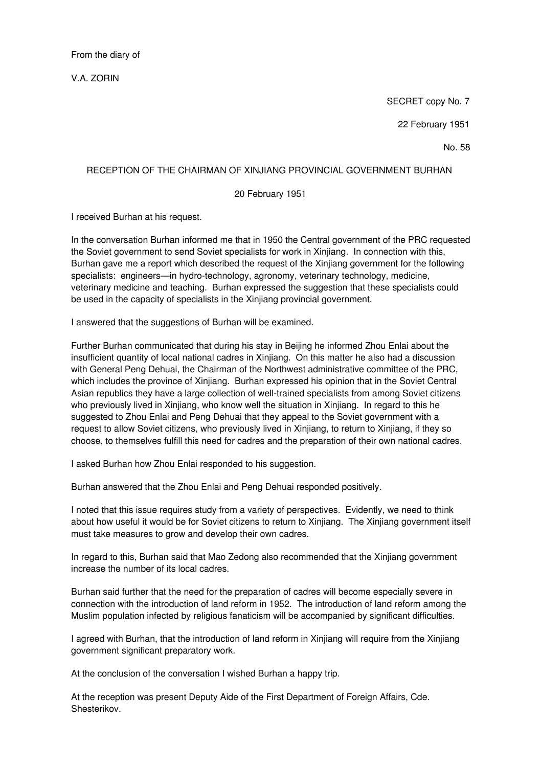From the diary of

V.A. ZORIN

SECRET copy No. 7

22 February 1951

No. 58

#### RECEPTION OF THE CHAIRMAN OF XINJIANG PROVINCIAL GOVERNMENT BURHAN

20 February 1951

I received Burhan at his request.

In the conversation Burhan informed me that in 1950 the Central government of the PRC requested the Soviet government to send Soviet specialists for work in Xinjiang. In connection with this, Burhan gave me a report which described the request of the Xinjiang government for the following specialists: engineers—in hydro-technology, agronomy, veterinary technology, medicine, veterinary medicine and teaching. Burhan expressed the suggestion that these specialists could be used in the capacity of specialists in the Xinjiang provincial government.

I answered that the suggestions of Burhan will be examined.

Further Burhan communicated that during his stay in Beijing he informed Zhou Enlai about the insufficient quantity of local national cadres in Xinjiang. On this matter he also had a discussion with General Peng Dehuai, the Chairman of the Northwest administrative committee of the PRC, which includes the province of Xinjiang. Burhan expressed his opinion that in the Soviet Central Asian republics they have a large collection of well-trained specialists from among Soviet citizens who previously lived in Xinjiang, who know well the situation in Xinjiang. In regard to this he suggested to Zhou Enlai and Peng Dehuai that they appeal to the Soviet government with a request to allow Soviet citizens, who previously lived in Xinjiang, to return to Xinjiang, if they so choose, to themselves fulfill this need for cadres and the preparation of their own national cadres.

I asked Burhan how Zhou Enlai responded to his suggestion.

Burhan answered that the Zhou Enlai and Peng Dehuai responded positively.

I noted that this issue requires study from a variety of perspectives. Evidently, we need to think about how useful it would be for Soviet citizens to return to Xinjiang. The Xinjiang government itself must take measures to grow and develop their own cadres.

In regard to this, Burhan said that Mao Zedong also recommended that the Xinjiang government increase the number of its local cadres.

Burhan said further that the need for the preparation of cadres will become especially severe in connection with the introduction of land reform in 1952. The introduction of land reform among the Muslim population infected by religious fanaticism will be accompanied by significant difficulties.

I agreed with Burhan, that the introduction of land reform in Xinjiang will require from the Xinjiang government significant preparatory work.

At the conclusion of the conversation I wished Burhan a happy trip.

At the reception was present Deputy Aide of the First Department of Foreign Affairs, Cde. Shesterikov.